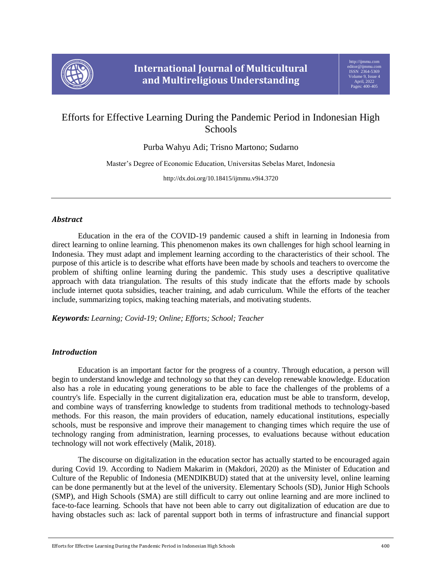

# Efforts for Effective Learning During the Pandemic Period in Indonesian High Schools

Purba Wahyu Adi; Trisno Martono; Sudarno

Master's Degree of Economic Education, Universitas Sebelas Maret, Indonesia

http://dx.doi.org/10.18415/ijmmu.v9i4.3720

# *Abstract*

Education in the era of the COVID-19 pandemic caused a shift in learning in Indonesia from direct learning to online learning. This phenomenon makes its own challenges for high school learning in Indonesia. They must adapt and implement learning according to the characteristics of their school. The purpose of this article is to describe what efforts have been made by schools and teachers to overcome the problem of shifting online learning during the pandemic. This study uses a descriptive qualitative approach with data triangulation. The results of this study indicate that the efforts made by schools include internet quota subsidies, teacher training, and adab curriculum. While the efforts of the teacher include, summarizing topics, making teaching materials, and motivating students.

*Keywords: Learning; Covid-19; Online; Efforts; School; Teacher*

# *Introduction*

Education is an important factor for the progress of a country. Through education, a person will begin to understand knowledge and technology so that they can develop renewable knowledge. Education also has a role in educating young generations to be able to face the challenges of the problems of a country's life. Especially in the current digitalization era, education must be able to transform, develop, and combine ways of transferring knowledge to students from traditional methods to technology-based methods. For this reason, the main providers of education, namely educational institutions, especially schools, must be responsive and improve their management to changing times which require the use of technology ranging from administration, learning processes, to evaluations because without education technology will not work effectively (Malik, 2018).

The discourse on digitalization in the education sector has actually started to be encouraged again during Covid 19. According to Nadiem Makarim in (Makdori, 2020) as the Minister of Education and Culture of the Republic of Indonesia (MENDIKBUD) stated that at the university level, online learning can be done permanently but at the level of the university. Elementary Schools (SD), Junior High Schools (SMP), and High Schools (SMA) are still difficult to carry out online learning and are more inclined to face-to-face learning. Schools that have not been able to carry out digitalization of education are due to having obstacles such as: lack of parental support both in terms of infrastructure and financial support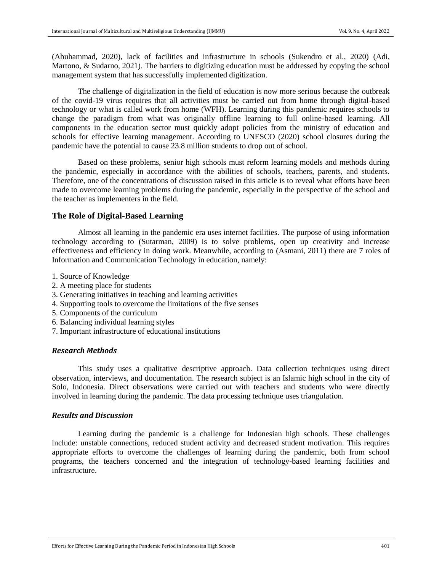(Abuhammad, 2020), lack of facilities and infrastructure in schools (Sukendro et al., 2020) (Adi, Martono, & Sudarno, 2021). The barriers to digitizing education must be addressed by copying the school management system that has successfully implemented digitization.

The challenge of digitalization in the field of education is now more serious because the outbreak of the covid-19 virus requires that all activities must be carried out from home through digital-based technology or what is called work from home (WFH). Learning during this pandemic requires schools to change the paradigm from what was originally offline learning to full online-based learning. All components in the education sector must quickly adopt policies from the ministry of education and schools for effective learning management. According to UNESCO (2020) school closures during the pandemic have the potential to cause 23.8 million students to drop out of school.

Based on these problems, senior high schools must reform learning models and methods during the pandemic, especially in accordance with the abilities of schools, teachers, parents, and students. Therefore, one of the concentrations of discussion raised in this article is to reveal what efforts have been made to overcome learning problems during the pandemic, especially in the perspective of the school and the teacher as implementers in the field.

## **The Role of Digital-Based Learning**

Almost all learning in the pandemic era uses internet facilities. The purpose of using information technology according to (Sutarman, 2009) is to solve problems, open up creativity and increase effectiveness and efficiency in doing work. Meanwhile, according to (Asmani, 2011) there are 7 roles of Information and Communication Technology in education, namely:

- 1. Source of Knowledge
- 2. A meeting place for students
- 3. Generating initiatives in teaching and learning activities
- 4. Supporting tools to overcome the limitations of the five senses
- 5. Components of the curriculum
- 6. Balancing individual learning styles
- 7. Important infrastructure of educational institutions

#### *Research Methods*

This study uses a qualitative descriptive approach. Data collection techniques using direct observation, interviews, and documentation. The research subject is an Islamic high school in the city of Solo, Indonesia. Direct observations were carried out with teachers and students who were directly involved in learning during the pandemic. The data processing technique uses triangulation.

#### *Results and Discussion*

Learning during the pandemic is a challenge for Indonesian high schools. These challenges include: unstable connections, reduced student activity and decreased student motivation. This requires appropriate efforts to overcome the challenges of learning during the pandemic, both from school programs, the teachers concerned and the integration of technology-based learning facilities and infrastructure.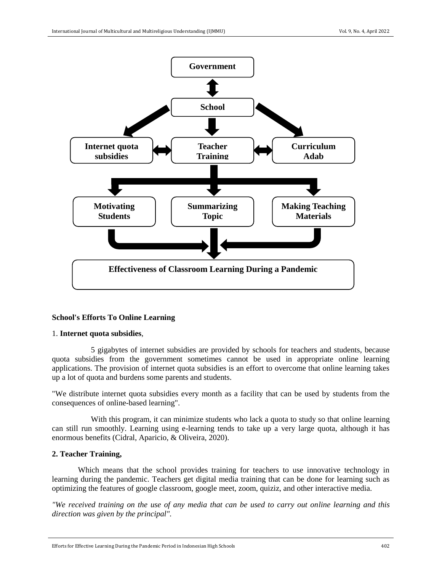

## **School's Efforts To Online Learning**

#### 1. **Internet quota subsidies**,

5 gigabytes of internet subsidies are provided by schools for teachers and students, because quota subsidies from the government sometimes cannot be used in appropriate online learning applications. The provision of internet quota subsidies is an effort to overcome that online learning takes up a lot of quota and burdens some parents and students.

"We distribute internet quota subsidies every month as a facility that can be used by students from the consequences of online-based learning".

With this program, it can minimize students who lack a quota to study so that online learning can still run smoothly. Learning using e-learning tends to take up a very large quota, although it has enormous benefits (Cidral, Aparicio, & Oliveira, 2020).

### **2. Teacher Training,**

Which means that the school provides training for teachers to use innovative technology in learning during the pandemic. Teachers get digital media training that can be done for learning such as optimizing the features of google classroom, google meet, zoom, quiziz, and other interactive media.

*"We received training on the use of any media that can be used to carry out online learning and this direction was given by the principal".*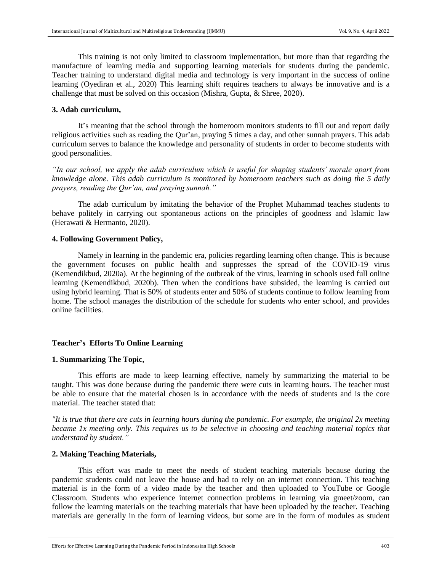This training is not only limited to classroom implementation, but more than that regarding the manufacture of learning media and supporting learning materials for students during the pandemic. Teacher training to understand digital media and technology is very important in the success of online learning (Oyediran et al., 2020) This learning shift requires teachers to always be innovative and is a challenge that must be solved on this occasion (Mishra, Gupta, & Shree, 2020).

## **3. Adab curriculum,**

It's meaning that the school through the homeroom monitors students to fill out and report daily religious activities such as reading the Qur'an, praying 5 times a day, and other sunnah prayers. This adab curriculum serves to balance the knowledge and personality of students in order to become students with good personalities.

*"In our school, we apply the adab curriculum which is useful for shaping students' morale apart from knowledge alone. This adab curriculum is monitored by homeroom teachers such as doing the 5 daily prayers, reading the Qur'an, and praying sunnah."*

The adab curriculum by imitating the behavior of the Prophet Muhammad teaches students to behave politely in carrying out spontaneous actions on the principles of goodness and Islamic law (Herawati & Hermanto, 2020).

#### **4. Following Government Policy,**

Namely in learning in the pandemic era, policies regarding learning often change. This is because the government focuses on public health and suppresses the spread of the COVID-19 virus (Kemendikbud, 2020a). At the beginning of the outbreak of the virus, learning in schools used full online learning (Kemendikbud, 2020b). Then when the conditions have subsided, the learning is carried out using hybrid learning. That is 50% of students enter and 50% of students continue to follow learning from home. The school manages the distribution of the schedule for students who enter school, and provides online facilities.

#### **Teacher's Efforts To Online Learning**

#### **1. Summarizing The Topic,**

This efforts are made to keep learning effective, namely by summarizing the material to be taught. This was done because during the pandemic there were cuts in learning hours. The teacher must be able to ensure that the material chosen is in accordance with the needs of students and is the core material. The teacher stated that:

*"It is true that there are cuts in learning hours during the pandemic. For example, the original 2x meeting became 1x meeting only. This requires us to be selective in choosing and teaching material topics that understand by student."*

### **2. Making Teaching Materials,**

This effort was made to meet the needs of student teaching materials because during the pandemic students could not leave the house and had to rely on an internet connection. This teaching material is in the form of a video made by the teacher and then uploaded to YouTube or Google Classroom. Students who experience internet connection problems in learning via gmeet/zoom, can follow the learning materials on the teaching materials that have been uploaded by the teacher. Teaching materials are generally in the form of learning videos, but some are in the form of modules as student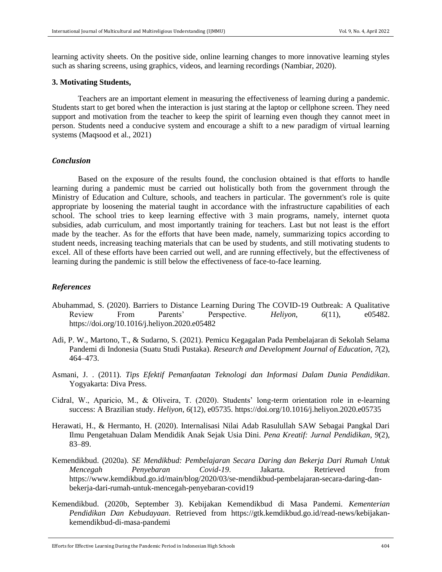learning activity sheets. On the positive side, online learning changes to more innovative learning styles such as sharing screens, using graphics, videos, and learning recordings (Nambiar, 2020).

#### **3. Motivating Students,**

Teachers are an important element in measuring the effectiveness of learning during a pandemic. Students start to get bored when the interaction is just staring at the laptop or cellphone screen. They need support and motivation from the teacher to keep the spirit of learning even though they cannot meet in person. Students need a conducive system and encourage a shift to a new paradigm of virtual learning systems (Maqsood et al., 2021)

## *Conclusion*

Based on the exposure of the results found, the conclusion obtained is that efforts to handle learning during a pandemic must be carried out holistically both from the government through the Ministry of Education and Culture, schools, and teachers in particular. The government's role is quite appropriate by loosening the material taught in accordance with the infrastructure capabilities of each school. The school tries to keep learning effective with 3 main programs, namely, internet quota subsidies, adab curriculum, and most importantly training for teachers. Last but not least is the effort made by the teacher. As for the efforts that have been made, namely, summarizing topics according to student needs, increasing teaching materials that can be used by students, and still motivating students to excel. All of these efforts have been carried out well, and are running effectively, but the effectiveness of learning during the pandemic is still below the effectiveness of face-to-face learning.

## *References*

- Abuhammad, S. (2020). Barriers to Distance Learning During The COVID-19 Outbreak: A Qualitative Review From Parents' Perspective. *Heliyon*, *6*(11), e05482. https://doi.org/10.1016/j.heliyon.2020.e05482
- Adi, P. W., Martono, T., & Sudarno, S. (2021). Pemicu Kegagalan Pada Pembelajaran di Sekolah Selama Pandemi di Indonesia (Suatu Studi Pustaka). *Research and Development Journal of Education*, *7*(2), 464–473.
- Asmani, J. . (2011). *Tips Efektif Pemanfaatan Teknologi dan Informasi Dalam Dunia Pendidikan*. Yogyakarta: Diva Press.
- Cidral, W., Aparicio, M., & Oliveira, T. (2020). Students' long-term orientation role in e-learning success: A Brazilian study. *Heliyon*, *6*(12), e05735. https://doi.org/10.1016/j.heliyon.2020.e05735
- Herawati, H., & Hermanto, H. (2020). Internalisasi Nilai Adab Rasulullah SAW Sebagai Pangkal Dari Ilmu Pengetahuan Dalam Mendidik Anak Sejak Usia Dini. *Pena Kreatif: Jurnal Pendidikan*, *9*(2), 83–89.
- Kemendikbud. (2020a). *SE Mendikbud: Pembelajaran Secara Daring dan Bekerja Dari Rumah Untuk Mencegah Penyebaran Covid-19*. Jakarta. Retrieved from https://www.kemdikbud.go.id/main/blog/2020/03/se-mendikbud-pembelajaran-secara-daring-danbekerja-dari-rumah-untuk-mencegah-penyebaran-covid19
- Kemendikbud. (2020b, September 3). Kebijakan Kemendikbud di Masa Pandemi. *Kementerian Pendidikan Dan Kebudayaan*. Retrieved from https://gtk.kemdikbud.go.id/read-news/kebijakankemendikbud-di-masa-pandemi

Efforts for Effective Learning During the Pandemic Period in Indonesian High Schools 404